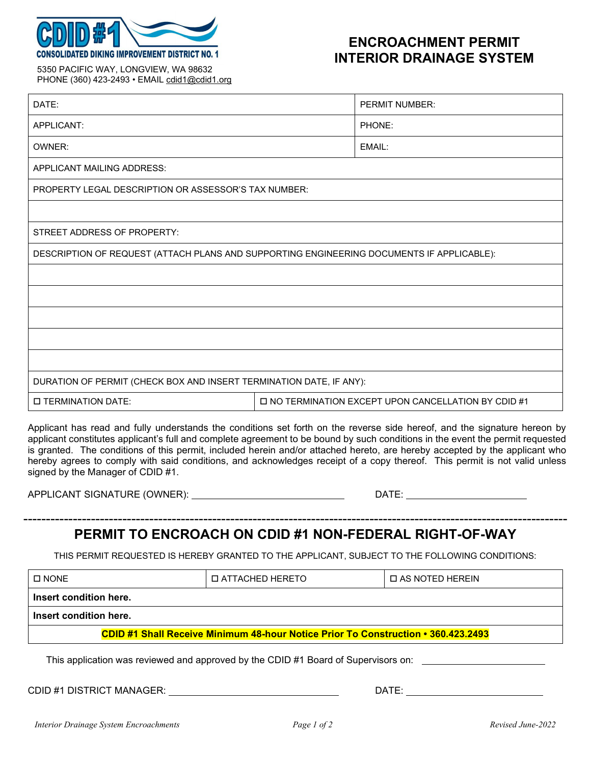

# **ENCROACHMENT PERMIT INTERIOR DRAINAGE SYSTEM**

5350 PACIFIC WAY, LONGVIEW, WA 98632 PHONE (360) 423-2493 • EMAIL cdid1@cdid1.org

| DATE:                                                                                                                                                                                                                                                                                                                                                                                                                                                                                                                                                        |                                                      | <b>PERMIT NUMBER:</b> |  |
|--------------------------------------------------------------------------------------------------------------------------------------------------------------------------------------------------------------------------------------------------------------------------------------------------------------------------------------------------------------------------------------------------------------------------------------------------------------------------------------------------------------------------------------------------------------|------------------------------------------------------|-----------------------|--|
| APPLICANT:                                                                                                                                                                                                                                                                                                                                                                                                                                                                                                                                                   |                                                      | PHONE:                |  |
| OWNER:                                                                                                                                                                                                                                                                                                                                                                                                                                                                                                                                                       |                                                      | EMAIL:                |  |
| APPLICANT MAILING ADDRESS:                                                                                                                                                                                                                                                                                                                                                                                                                                                                                                                                   |                                                      |                       |  |
| <b>PROPERTY LEGAL DESCRIPTION OR ASSESSOR'S TAX NUMBER:</b>                                                                                                                                                                                                                                                                                                                                                                                                                                                                                                  |                                                      |                       |  |
|                                                                                                                                                                                                                                                                                                                                                                                                                                                                                                                                                              |                                                      |                       |  |
| STREET ADDRESS OF PROPERTY:                                                                                                                                                                                                                                                                                                                                                                                                                                                                                                                                  |                                                      |                       |  |
| DESCRIPTION OF REQUEST (ATTACH PLANS AND SUPPORTING ENGINEERING DOCUMENTS IF APPLICABLE):                                                                                                                                                                                                                                                                                                                                                                                                                                                                    |                                                      |                       |  |
|                                                                                                                                                                                                                                                                                                                                                                                                                                                                                                                                                              |                                                      |                       |  |
|                                                                                                                                                                                                                                                                                                                                                                                                                                                                                                                                                              |                                                      |                       |  |
|                                                                                                                                                                                                                                                                                                                                                                                                                                                                                                                                                              |                                                      |                       |  |
|                                                                                                                                                                                                                                                                                                                                                                                                                                                                                                                                                              |                                                      |                       |  |
|                                                                                                                                                                                                                                                                                                                                                                                                                                                                                                                                                              |                                                      |                       |  |
| DURATION OF PERMIT (CHECK BOX AND INSERT TERMINATION DATE, IF ANY):                                                                                                                                                                                                                                                                                                                                                                                                                                                                                          |                                                      |                       |  |
| <b>D TERMINATION DATE:</b>                                                                                                                                                                                                                                                                                                                                                                                                                                                                                                                                   | □ NO TERMINATION EXCEPT UPON CANCELLATION BY CDID #1 |                       |  |
| Applicant has read and fully understands the conditions set forth on the reverse side hereof, and the signature hereon by<br>applicant constitutes applicant's full and complete agreement to be bound by such conditions in the event the permit requested<br>is granted. The conditions of this permit, included herein and/or attached hereto, are hereby accepted by the applicant who<br>hereby agrees to comply with said conditions, and acknowledges receipt of a copy thereof. This permit is not valid unless<br>signed by the Manager of CDID #1. |                                                      |                       |  |

APPLICANT SIGNATURE (OWNER): DATE: .

## ------------------------------------------------------------------------------------------------------------------------- **PERMIT TO ENCROACH ON CDID #1 NON-FEDERAL RIGHT-OF-WAY**

THIS PERMIT REQUESTED IS HEREBY GRANTED TO THE APPLICANT, SUBJECT TO THE FOLLOWING CONDITIONS:

| $\square$ NONE                                                                                                                                                                                                                 | <b>D ATTACHED HERETO</b> | <b>DAS NOTED HEREIN</b>                                                                                                                                                                                                        |  |  |
|--------------------------------------------------------------------------------------------------------------------------------------------------------------------------------------------------------------------------------|--------------------------|--------------------------------------------------------------------------------------------------------------------------------------------------------------------------------------------------------------------------------|--|--|
| Insert condition here.                                                                                                                                                                                                         |                          |                                                                                                                                                                                                                                |  |  |
| Insert condition here.                                                                                                                                                                                                         |                          |                                                                                                                                                                                                                                |  |  |
| <b>CDID #1 Shall Receive Minimum 48-hour Notice Prior To Construction • 360.423.2493</b>                                                                                                                                       |                          |                                                                                                                                                                                                                                |  |  |
| This application was reviewed and approved by the CDID #1 Board of Supervisors on:                                                                                                                                             |                          |                                                                                                                                                                                                                                |  |  |
| CDID #1 DISTRICT MANAGER: THE MANAGER OF THE STATE OF THE STATE OF THE STATE OF THE STATE OF THE STATE OF THE STATE OF THE STATE OF THE STATE OF THE STATE OF THE STATE OF THE STATE OF THE STATE OF THE STATE OF THE STATE OF |                          | DATE: the contract of the contract of the contract of the contract of the contract of the contract of the contract of the contract of the contract of the contract of the contract of the contract of the contract of the cont |  |  |
|                                                                                                                                                                                                                                |                          |                                                                                                                                                                                                                                |  |  |